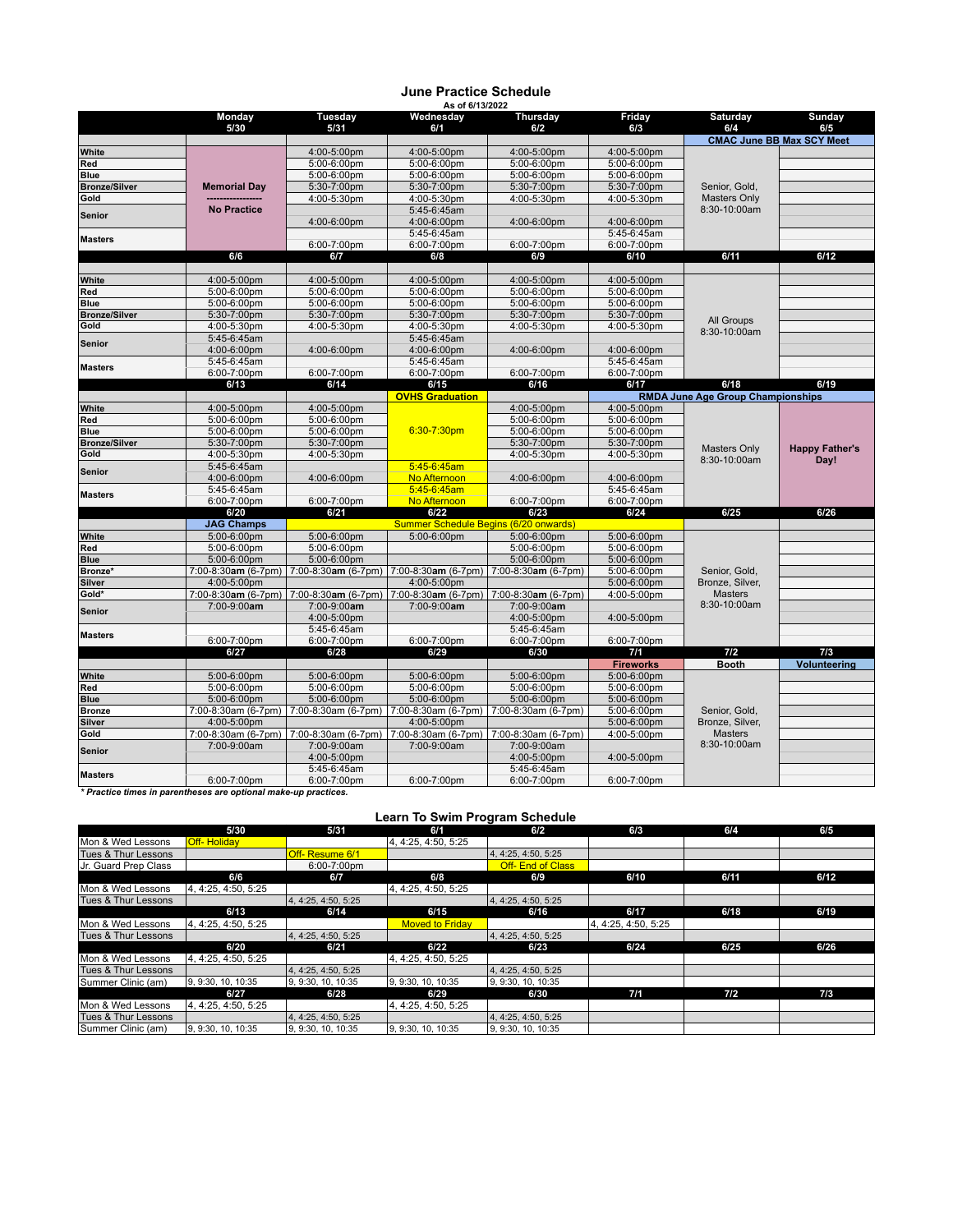## **June Practice Schedule As of 6/13/2022**

| <b>CMAC June BB Max SCY Meet</b><br>White<br>4:00-5:00pm<br>4:00-5:00pm<br>4:00-5:00pm<br>4:00-5:00pm<br>Red<br>5:00-6:00pm<br>5:00-6:00pm<br>5:00-6:00pm<br>5:00-6:00pm<br>Blue<br>5:00-6:00pm<br>5:00-6:00pm<br>5:00-6:00pm<br>5:00-6:00pm<br><b>Bronze/Silver</b><br><b>Memorial Day</b><br>5:30-7:00pm<br>5:30-7:00pm<br>5:30-7:00pm<br>5:30-7:00pm<br>Senior, Gold,<br>Gold<br>4:00-5:30pm<br>4:00-5:30pm<br>4:00-5:30pm<br>4:00-5:30pm<br><b>Masters Only</b><br><b>No Practice</b><br>8:30-10:00am<br>5:45-6:45am<br><b>Senior</b><br>4:00-6:00pm<br>4:00-6:00pm<br>4:00-6:00pm<br>4:00-6:00pm<br>5:45-6:45am<br>5:45-6:45am<br><b>Masters</b><br>6:00-7:00pm<br>6:00-7:00pm<br>6:00-7:00pm<br>6:00-7:00pm<br>6/6<br>6/7<br>6/9<br>6/10<br>6/11<br>6/12<br>6/8<br>4:00-5:00pm<br>4:00-5:00pm<br>4:00-5:00pm<br>4:00-5:00pm<br>4:00-5:00pm<br>White<br>5:00-6:00pm<br>Red<br>5:00-6:00pm<br>5:00-6:00pm<br>5:00-6:00pm<br>5:00-6:00pm<br>5:00-6:00pm<br>5:00-6:00pm<br>5:00-6:00pm<br>5:00-6:00pm<br>5:00-6:00pm<br><b>Blue</b><br>5:30-7:00pm<br>5:30-7:00pm<br>5:30-7:00pm<br><b>Bronze/Silver</b><br>5:30-7:00pm<br>5:30-7:00pm<br>All Groups<br>Gold<br>4:00-5:30pm<br>4:00-5:30pm<br>4:00-5:30pm<br>4:00-5:30pm<br>4:00-5:30pm<br>8:30-10:00am<br>5:45-6:45am<br>5:45-6:45am<br><b>Senior</b><br>4:00-6:00pm<br>4:00-6:00pm<br>4:00-6:00pm<br>4:00-6:00pm<br>4:00-6:00pm<br>5:45-6:45am<br>5:45-6:45am<br>5:45-6:45am<br><b>Masters</b><br>6:00-7:00pm<br>6:00-7:00pm<br>6:00-7:00pm<br>6:00-7:00pm<br>6:00-7:00pm<br>6/18<br>6/13<br>6/14<br>6/15<br>6/16<br>6/17<br>6/19<br><b>RMDA June Age Group Championships</b><br><b>OVHS Graduation</b><br>4:00-5:00pm<br>4:00-5:00pm<br>4:00-5:00pm<br>4:00-5:00pm<br>White<br>Red<br>5:00-6:00pm<br>5:00-6:00pm<br>5:00-6:00pm<br>5:00-6:00pm<br>6:30-7:30pm<br>Blue<br>5:00-6:00pm<br>5:00-6:00pm<br>5:00-6:00pm<br>5:00-6:00pm<br><b>Bronze/Silver</b><br>5:30-7:00pm<br>5:30-7:00pm<br>5:30-7:00pm<br>5:30-7:00pm<br><b>Happy Father's</b><br><b>Masters Only</b><br>Gold<br>4:00-5:30pm<br>4:00-5:30pm<br>4:00-5:30pm<br>4:00-5:30pm<br>8:30-10:00am<br>Day!<br>5:45-6:45am<br>5:45-6:45am<br><b>Senior</b><br>4:00-6:00pm<br>No Afternoon<br>4:00-6:00pm<br>4:00-6:00pm<br>4:00-6:00pm<br>5:45-6:45am<br>5:45-6:45am<br>5:45-6:45am<br><b>Masters</b><br>6:00-7:00pm<br>6:00-7:00pm<br>No Afternoon<br>6:00-7:00pm<br>6:00-7:00pm<br>6/21<br>6/23<br>6/24<br>6/25<br>6/26<br>6/20<br>6/22<br><b>Summer Schedule Begins (6/20 onwards)</b><br><b>JAG Champs</b><br>White<br>5:00-6:00pm<br>5:00-6:00pm<br>5:00-6:00pm<br>5:00-6:00pm<br>5:00-6:00pm<br>5:00-6:00pm<br>5:00-6:00pm<br>5:00-6:00pm<br>Red<br>5:00-6:00pm<br><b>Blue</b><br>5:00-6:00pm<br>5:00-6:00pm<br>5:00-6:00pm<br>5:00-6:00pm<br>7:00-8:30am (6-7pm)<br>7:00-8:30am (6-7pm) 7:00-8:30am (6-7pm)<br>5:00-6:00pm<br>Bronze*<br>7:00-8:30am (6-7pm)<br>Senior, Gold,<br>Bronze, Silver,<br><b>Silver</b><br>4:00-5:00pm<br>4:00-5:00pm<br>5:00-6:00pm<br>Gold*<br>7:00-8:30am (6-7pm) 7:00-8:30am (6-7pm)<br><b>Masters</b><br>7:00-8:30am (6-7pm)<br>$7:00-8:30$ am (6-7pm)<br>4:00-5:00pm<br>8:30-10:00am<br>7:00-9:00am<br>7:00-9:00am<br>7:00-9:00am<br>7:00-9:00am<br>Senior<br>4:00-5:00pm<br>4:00-5:00pm<br>4:00-5:00pm<br>5:45-6:45am<br>5:45-6:45am<br><b>Masters</b><br>6:00-7:00pm<br>6:00-7:00pm<br>6:00-7:00pm<br>6:00-7:00pm<br>6:00-7:00pm<br>6/27<br>6/28<br>6/29<br>6/30<br>7/1<br>7/2<br>7/3<br><b>Fireworks</b><br>Volunteering<br><b>Booth</b><br>5:00-6:00pm<br>5:00-6:00pm<br>5:00-6:00pm<br>5:00-6:00pm<br>5:00-6:00pm<br>White<br>5:00-6:00pm<br>5:00-6:00pm<br>5:00-6:00pm<br>5:00-6:00pm<br>5:00-6:00pm<br>Red<br><b>Blue</b><br>5:00-6:00pm<br>5:00-6:00pm<br>5:00-6:00pm<br>5:00-6:00pm<br>5:00-6:00pm<br>7:00-8:30am (6-7pm) 7:00-8:30am (6-7pm)  <br>7:00-8:30am (6-7pm) 7:00-8:30am (6-7pm)<br>5:00-6:00pm<br>Senior, Gold,<br><b>Bronze</b><br>Bronze, Silver,<br><b>Silver</b><br>4:00-5:00pm<br>4:00-5:00pm<br>5:00-6:00pm<br>Gold<br><b>Masters</b><br>7:00-8:30am (6-7pm)<br>7:00-8:30am (6-7pm)<br>7:00-8:30am (6-7pm)<br>7:00-8:30am (6-7pm)<br>4:00-5:00pm<br>8:30-10:00am<br>7:00-9:00am<br>7:00-9:00am<br>7:00-9:00am<br>7:00-9:00am<br><b>Senior</b><br>4:00-5:00pm<br>4:00-5:00pm<br>4:00-5:00pm<br>5:45-6:45am<br>5:45-6:45am<br><b>Masters</b> |  | Monday      | <b>Tuesday</b> | Wednesday   | Thursday    | Friday      | <b>Saturday</b> | <b>Sunday</b> |
|------------------------------------------------------------------------------------------------------------------------------------------------------------------------------------------------------------------------------------------------------------------------------------------------------------------------------------------------------------------------------------------------------------------------------------------------------------------------------------------------------------------------------------------------------------------------------------------------------------------------------------------------------------------------------------------------------------------------------------------------------------------------------------------------------------------------------------------------------------------------------------------------------------------------------------------------------------------------------------------------------------------------------------------------------------------------------------------------------------------------------------------------------------------------------------------------------------------------------------------------------------------------------------------------------------------------------------------------------------------------------------------------------------------------------------------------------------------------------------------------------------------------------------------------------------------------------------------------------------------------------------------------------------------------------------------------------------------------------------------------------------------------------------------------------------------------------------------------------------------------------------------------------------------------------------------------------------------------------------------------------------------------------------------------------------------------------------------------------------------------------------------------------------------------------------------------------------------------------------------------------------------------------------------------------------------------------------------------------------------------------------------------------------------------------------------------------------------------------------------------------------------------------------------------------------------------------------------------------------------------------------------------------------------------------------------------------------------------------------------------------------------------------------------------------------------------------------------------------------------------------------------------------------------------------------------------------------------------------------------------------------------------------------------------------------------------------------------------------------------------------------------------------------------------------------------------------------------------------------------------------------------------------------------------------------------------------------------------------------------------------------------------------------------------------------------------------------------------------------------------------------------------------------------------------------------------------------------------------------------------------------------------------------------------------------------------------------------------------------------------------------------------------------------------------------------------------------------------------------------------------------------------------------------------------------------------------------------------------------------------------------------------------------------------------------------------------------------------------------------------------------------------------------------------------------------------------------------------------------------------------------------------------------------------------------------------|--|-------------|----------------|-------------|-------------|-------------|-----------------|---------------|
|                                                                                                                                                                                                                                                                                                                                                                                                                                                                                                                                                                                                                                                                                                                                                                                                                                                                                                                                                                                                                                                                                                                                                                                                                                                                                                                                                                                                                                                                                                                                                                                                                                                                                                                                                                                                                                                                                                                                                                                                                                                                                                                                                                                                                                                                                                                                                                                                                                                                                                                                                                                                                                                                                                                                                                                                                                                                                                                                                                                                                                                                                                                                                                                                                                                                                                                                                                                                                                                                                                                                                                                                                                                                                                                                                                                                                                                                                                                                                                                                                                                                                                                                                                                                                                                                                                                        |  | 5/30        | 5/31           | 6/1         | 6/2         | 6/3         | 6/4             | 6/5           |
|                                                                                                                                                                                                                                                                                                                                                                                                                                                                                                                                                                                                                                                                                                                                                                                                                                                                                                                                                                                                                                                                                                                                                                                                                                                                                                                                                                                                                                                                                                                                                                                                                                                                                                                                                                                                                                                                                                                                                                                                                                                                                                                                                                                                                                                                                                                                                                                                                                                                                                                                                                                                                                                                                                                                                                                                                                                                                                                                                                                                                                                                                                                                                                                                                                                                                                                                                                                                                                                                                                                                                                                                                                                                                                                                                                                                                                                                                                                                                                                                                                                                                                                                                                                                                                                                                                                        |  |             |                |             |             |             |                 |               |
|                                                                                                                                                                                                                                                                                                                                                                                                                                                                                                                                                                                                                                                                                                                                                                                                                                                                                                                                                                                                                                                                                                                                                                                                                                                                                                                                                                                                                                                                                                                                                                                                                                                                                                                                                                                                                                                                                                                                                                                                                                                                                                                                                                                                                                                                                                                                                                                                                                                                                                                                                                                                                                                                                                                                                                                                                                                                                                                                                                                                                                                                                                                                                                                                                                                                                                                                                                                                                                                                                                                                                                                                                                                                                                                                                                                                                                                                                                                                                                                                                                                                                                                                                                                                                                                                                                                        |  |             |                |             |             |             |                 |               |
|                                                                                                                                                                                                                                                                                                                                                                                                                                                                                                                                                                                                                                                                                                                                                                                                                                                                                                                                                                                                                                                                                                                                                                                                                                                                                                                                                                                                                                                                                                                                                                                                                                                                                                                                                                                                                                                                                                                                                                                                                                                                                                                                                                                                                                                                                                                                                                                                                                                                                                                                                                                                                                                                                                                                                                                                                                                                                                                                                                                                                                                                                                                                                                                                                                                                                                                                                                                                                                                                                                                                                                                                                                                                                                                                                                                                                                                                                                                                                                                                                                                                                                                                                                                                                                                                                                                        |  |             |                |             |             |             |                 |               |
|                                                                                                                                                                                                                                                                                                                                                                                                                                                                                                                                                                                                                                                                                                                                                                                                                                                                                                                                                                                                                                                                                                                                                                                                                                                                                                                                                                                                                                                                                                                                                                                                                                                                                                                                                                                                                                                                                                                                                                                                                                                                                                                                                                                                                                                                                                                                                                                                                                                                                                                                                                                                                                                                                                                                                                                                                                                                                                                                                                                                                                                                                                                                                                                                                                                                                                                                                                                                                                                                                                                                                                                                                                                                                                                                                                                                                                                                                                                                                                                                                                                                                                                                                                                                                                                                                                                        |  |             |                |             |             |             |                 |               |
|                                                                                                                                                                                                                                                                                                                                                                                                                                                                                                                                                                                                                                                                                                                                                                                                                                                                                                                                                                                                                                                                                                                                                                                                                                                                                                                                                                                                                                                                                                                                                                                                                                                                                                                                                                                                                                                                                                                                                                                                                                                                                                                                                                                                                                                                                                                                                                                                                                                                                                                                                                                                                                                                                                                                                                                                                                                                                                                                                                                                                                                                                                                                                                                                                                                                                                                                                                                                                                                                                                                                                                                                                                                                                                                                                                                                                                                                                                                                                                                                                                                                                                                                                                                                                                                                                                                        |  |             |                |             |             |             |                 |               |
|                                                                                                                                                                                                                                                                                                                                                                                                                                                                                                                                                                                                                                                                                                                                                                                                                                                                                                                                                                                                                                                                                                                                                                                                                                                                                                                                                                                                                                                                                                                                                                                                                                                                                                                                                                                                                                                                                                                                                                                                                                                                                                                                                                                                                                                                                                                                                                                                                                                                                                                                                                                                                                                                                                                                                                                                                                                                                                                                                                                                                                                                                                                                                                                                                                                                                                                                                                                                                                                                                                                                                                                                                                                                                                                                                                                                                                                                                                                                                                                                                                                                                                                                                                                                                                                                                                                        |  |             |                |             |             |             |                 |               |
|                                                                                                                                                                                                                                                                                                                                                                                                                                                                                                                                                                                                                                                                                                                                                                                                                                                                                                                                                                                                                                                                                                                                                                                                                                                                                                                                                                                                                                                                                                                                                                                                                                                                                                                                                                                                                                                                                                                                                                                                                                                                                                                                                                                                                                                                                                                                                                                                                                                                                                                                                                                                                                                                                                                                                                                                                                                                                                                                                                                                                                                                                                                                                                                                                                                                                                                                                                                                                                                                                                                                                                                                                                                                                                                                                                                                                                                                                                                                                                                                                                                                                                                                                                                                                                                                                                                        |  |             |                |             |             |             |                 |               |
|                                                                                                                                                                                                                                                                                                                                                                                                                                                                                                                                                                                                                                                                                                                                                                                                                                                                                                                                                                                                                                                                                                                                                                                                                                                                                                                                                                                                                                                                                                                                                                                                                                                                                                                                                                                                                                                                                                                                                                                                                                                                                                                                                                                                                                                                                                                                                                                                                                                                                                                                                                                                                                                                                                                                                                                                                                                                                                                                                                                                                                                                                                                                                                                                                                                                                                                                                                                                                                                                                                                                                                                                                                                                                                                                                                                                                                                                                                                                                                                                                                                                                                                                                                                                                                                                                                                        |  |             |                |             |             |             |                 |               |
|                                                                                                                                                                                                                                                                                                                                                                                                                                                                                                                                                                                                                                                                                                                                                                                                                                                                                                                                                                                                                                                                                                                                                                                                                                                                                                                                                                                                                                                                                                                                                                                                                                                                                                                                                                                                                                                                                                                                                                                                                                                                                                                                                                                                                                                                                                                                                                                                                                                                                                                                                                                                                                                                                                                                                                                                                                                                                                                                                                                                                                                                                                                                                                                                                                                                                                                                                                                                                                                                                                                                                                                                                                                                                                                                                                                                                                                                                                                                                                                                                                                                                                                                                                                                                                                                                                                        |  |             |                |             |             |             |                 |               |
|                                                                                                                                                                                                                                                                                                                                                                                                                                                                                                                                                                                                                                                                                                                                                                                                                                                                                                                                                                                                                                                                                                                                                                                                                                                                                                                                                                                                                                                                                                                                                                                                                                                                                                                                                                                                                                                                                                                                                                                                                                                                                                                                                                                                                                                                                                                                                                                                                                                                                                                                                                                                                                                                                                                                                                                                                                                                                                                                                                                                                                                                                                                                                                                                                                                                                                                                                                                                                                                                                                                                                                                                                                                                                                                                                                                                                                                                                                                                                                                                                                                                                                                                                                                                                                                                                                                        |  |             |                |             |             |             |                 |               |
|                                                                                                                                                                                                                                                                                                                                                                                                                                                                                                                                                                                                                                                                                                                                                                                                                                                                                                                                                                                                                                                                                                                                                                                                                                                                                                                                                                                                                                                                                                                                                                                                                                                                                                                                                                                                                                                                                                                                                                                                                                                                                                                                                                                                                                                                                                                                                                                                                                                                                                                                                                                                                                                                                                                                                                                                                                                                                                                                                                                                                                                                                                                                                                                                                                                                                                                                                                                                                                                                                                                                                                                                                                                                                                                                                                                                                                                                                                                                                                                                                                                                                                                                                                                                                                                                                                                        |  |             |                |             |             |             |                 |               |
|                                                                                                                                                                                                                                                                                                                                                                                                                                                                                                                                                                                                                                                                                                                                                                                                                                                                                                                                                                                                                                                                                                                                                                                                                                                                                                                                                                                                                                                                                                                                                                                                                                                                                                                                                                                                                                                                                                                                                                                                                                                                                                                                                                                                                                                                                                                                                                                                                                                                                                                                                                                                                                                                                                                                                                                                                                                                                                                                                                                                                                                                                                                                                                                                                                                                                                                                                                                                                                                                                                                                                                                                                                                                                                                                                                                                                                                                                                                                                                                                                                                                                                                                                                                                                                                                                                                        |  |             |                |             |             |             |                 |               |
|                                                                                                                                                                                                                                                                                                                                                                                                                                                                                                                                                                                                                                                                                                                                                                                                                                                                                                                                                                                                                                                                                                                                                                                                                                                                                                                                                                                                                                                                                                                                                                                                                                                                                                                                                                                                                                                                                                                                                                                                                                                                                                                                                                                                                                                                                                                                                                                                                                                                                                                                                                                                                                                                                                                                                                                                                                                                                                                                                                                                                                                                                                                                                                                                                                                                                                                                                                                                                                                                                                                                                                                                                                                                                                                                                                                                                                                                                                                                                                                                                                                                                                                                                                                                                                                                                                                        |  |             |                |             |             |             |                 |               |
|                                                                                                                                                                                                                                                                                                                                                                                                                                                                                                                                                                                                                                                                                                                                                                                                                                                                                                                                                                                                                                                                                                                                                                                                                                                                                                                                                                                                                                                                                                                                                                                                                                                                                                                                                                                                                                                                                                                                                                                                                                                                                                                                                                                                                                                                                                                                                                                                                                                                                                                                                                                                                                                                                                                                                                                                                                                                                                                                                                                                                                                                                                                                                                                                                                                                                                                                                                                                                                                                                                                                                                                                                                                                                                                                                                                                                                                                                                                                                                                                                                                                                                                                                                                                                                                                                                                        |  |             |                |             |             |             |                 |               |
|                                                                                                                                                                                                                                                                                                                                                                                                                                                                                                                                                                                                                                                                                                                                                                                                                                                                                                                                                                                                                                                                                                                                                                                                                                                                                                                                                                                                                                                                                                                                                                                                                                                                                                                                                                                                                                                                                                                                                                                                                                                                                                                                                                                                                                                                                                                                                                                                                                                                                                                                                                                                                                                                                                                                                                                                                                                                                                                                                                                                                                                                                                                                                                                                                                                                                                                                                                                                                                                                                                                                                                                                                                                                                                                                                                                                                                                                                                                                                                                                                                                                                                                                                                                                                                                                                                                        |  |             |                |             |             |             |                 |               |
|                                                                                                                                                                                                                                                                                                                                                                                                                                                                                                                                                                                                                                                                                                                                                                                                                                                                                                                                                                                                                                                                                                                                                                                                                                                                                                                                                                                                                                                                                                                                                                                                                                                                                                                                                                                                                                                                                                                                                                                                                                                                                                                                                                                                                                                                                                                                                                                                                                                                                                                                                                                                                                                                                                                                                                                                                                                                                                                                                                                                                                                                                                                                                                                                                                                                                                                                                                                                                                                                                                                                                                                                                                                                                                                                                                                                                                                                                                                                                                                                                                                                                                                                                                                                                                                                                                                        |  |             |                |             |             |             |                 |               |
|                                                                                                                                                                                                                                                                                                                                                                                                                                                                                                                                                                                                                                                                                                                                                                                                                                                                                                                                                                                                                                                                                                                                                                                                                                                                                                                                                                                                                                                                                                                                                                                                                                                                                                                                                                                                                                                                                                                                                                                                                                                                                                                                                                                                                                                                                                                                                                                                                                                                                                                                                                                                                                                                                                                                                                                                                                                                                                                                                                                                                                                                                                                                                                                                                                                                                                                                                                                                                                                                                                                                                                                                                                                                                                                                                                                                                                                                                                                                                                                                                                                                                                                                                                                                                                                                                                                        |  |             |                |             |             |             |                 |               |
|                                                                                                                                                                                                                                                                                                                                                                                                                                                                                                                                                                                                                                                                                                                                                                                                                                                                                                                                                                                                                                                                                                                                                                                                                                                                                                                                                                                                                                                                                                                                                                                                                                                                                                                                                                                                                                                                                                                                                                                                                                                                                                                                                                                                                                                                                                                                                                                                                                                                                                                                                                                                                                                                                                                                                                                                                                                                                                                                                                                                                                                                                                                                                                                                                                                                                                                                                                                                                                                                                                                                                                                                                                                                                                                                                                                                                                                                                                                                                                                                                                                                                                                                                                                                                                                                                                                        |  |             |                |             |             |             |                 |               |
|                                                                                                                                                                                                                                                                                                                                                                                                                                                                                                                                                                                                                                                                                                                                                                                                                                                                                                                                                                                                                                                                                                                                                                                                                                                                                                                                                                                                                                                                                                                                                                                                                                                                                                                                                                                                                                                                                                                                                                                                                                                                                                                                                                                                                                                                                                                                                                                                                                                                                                                                                                                                                                                                                                                                                                                                                                                                                                                                                                                                                                                                                                                                                                                                                                                                                                                                                                                                                                                                                                                                                                                                                                                                                                                                                                                                                                                                                                                                                                                                                                                                                                                                                                                                                                                                                                                        |  |             |                |             |             |             |                 |               |
|                                                                                                                                                                                                                                                                                                                                                                                                                                                                                                                                                                                                                                                                                                                                                                                                                                                                                                                                                                                                                                                                                                                                                                                                                                                                                                                                                                                                                                                                                                                                                                                                                                                                                                                                                                                                                                                                                                                                                                                                                                                                                                                                                                                                                                                                                                                                                                                                                                                                                                                                                                                                                                                                                                                                                                                                                                                                                                                                                                                                                                                                                                                                                                                                                                                                                                                                                                                                                                                                                                                                                                                                                                                                                                                                                                                                                                                                                                                                                                                                                                                                                                                                                                                                                                                                                                                        |  |             |                |             |             |             |                 |               |
|                                                                                                                                                                                                                                                                                                                                                                                                                                                                                                                                                                                                                                                                                                                                                                                                                                                                                                                                                                                                                                                                                                                                                                                                                                                                                                                                                                                                                                                                                                                                                                                                                                                                                                                                                                                                                                                                                                                                                                                                                                                                                                                                                                                                                                                                                                                                                                                                                                                                                                                                                                                                                                                                                                                                                                                                                                                                                                                                                                                                                                                                                                                                                                                                                                                                                                                                                                                                                                                                                                                                                                                                                                                                                                                                                                                                                                                                                                                                                                                                                                                                                                                                                                                                                                                                                                                        |  |             |                |             |             |             |                 |               |
|                                                                                                                                                                                                                                                                                                                                                                                                                                                                                                                                                                                                                                                                                                                                                                                                                                                                                                                                                                                                                                                                                                                                                                                                                                                                                                                                                                                                                                                                                                                                                                                                                                                                                                                                                                                                                                                                                                                                                                                                                                                                                                                                                                                                                                                                                                                                                                                                                                                                                                                                                                                                                                                                                                                                                                                                                                                                                                                                                                                                                                                                                                                                                                                                                                                                                                                                                                                                                                                                                                                                                                                                                                                                                                                                                                                                                                                                                                                                                                                                                                                                                                                                                                                                                                                                                                                        |  |             |                |             |             |             |                 |               |
|                                                                                                                                                                                                                                                                                                                                                                                                                                                                                                                                                                                                                                                                                                                                                                                                                                                                                                                                                                                                                                                                                                                                                                                                                                                                                                                                                                                                                                                                                                                                                                                                                                                                                                                                                                                                                                                                                                                                                                                                                                                                                                                                                                                                                                                                                                                                                                                                                                                                                                                                                                                                                                                                                                                                                                                                                                                                                                                                                                                                                                                                                                                                                                                                                                                                                                                                                                                                                                                                                                                                                                                                                                                                                                                                                                                                                                                                                                                                                                                                                                                                                                                                                                                                                                                                                                                        |  |             |                |             |             |             |                 |               |
|                                                                                                                                                                                                                                                                                                                                                                                                                                                                                                                                                                                                                                                                                                                                                                                                                                                                                                                                                                                                                                                                                                                                                                                                                                                                                                                                                                                                                                                                                                                                                                                                                                                                                                                                                                                                                                                                                                                                                                                                                                                                                                                                                                                                                                                                                                                                                                                                                                                                                                                                                                                                                                                                                                                                                                                                                                                                                                                                                                                                                                                                                                                                                                                                                                                                                                                                                                                                                                                                                                                                                                                                                                                                                                                                                                                                                                                                                                                                                                                                                                                                                                                                                                                                                                                                                                                        |  |             |                |             |             |             |                 |               |
|                                                                                                                                                                                                                                                                                                                                                                                                                                                                                                                                                                                                                                                                                                                                                                                                                                                                                                                                                                                                                                                                                                                                                                                                                                                                                                                                                                                                                                                                                                                                                                                                                                                                                                                                                                                                                                                                                                                                                                                                                                                                                                                                                                                                                                                                                                                                                                                                                                                                                                                                                                                                                                                                                                                                                                                                                                                                                                                                                                                                                                                                                                                                                                                                                                                                                                                                                                                                                                                                                                                                                                                                                                                                                                                                                                                                                                                                                                                                                                                                                                                                                                                                                                                                                                                                                                                        |  |             |                |             |             |             |                 |               |
|                                                                                                                                                                                                                                                                                                                                                                                                                                                                                                                                                                                                                                                                                                                                                                                                                                                                                                                                                                                                                                                                                                                                                                                                                                                                                                                                                                                                                                                                                                                                                                                                                                                                                                                                                                                                                                                                                                                                                                                                                                                                                                                                                                                                                                                                                                                                                                                                                                                                                                                                                                                                                                                                                                                                                                                                                                                                                                                                                                                                                                                                                                                                                                                                                                                                                                                                                                                                                                                                                                                                                                                                                                                                                                                                                                                                                                                                                                                                                                                                                                                                                                                                                                                                                                                                                                                        |  |             |                |             |             |             |                 |               |
|                                                                                                                                                                                                                                                                                                                                                                                                                                                                                                                                                                                                                                                                                                                                                                                                                                                                                                                                                                                                                                                                                                                                                                                                                                                                                                                                                                                                                                                                                                                                                                                                                                                                                                                                                                                                                                                                                                                                                                                                                                                                                                                                                                                                                                                                                                                                                                                                                                                                                                                                                                                                                                                                                                                                                                                                                                                                                                                                                                                                                                                                                                                                                                                                                                                                                                                                                                                                                                                                                                                                                                                                                                                                                                                                                                                                                                                                                                                                                                                                                                                                                                                                                                                                                                                                                                                        |  |             |                |             |             |             |                 |               |
|                                                                                                                                                                                                                                                                                                                                                                                                                                                                                                                                                                                                                                                                                                                                                                                                                                                                                                                                                                                                                                                                                                                                                                                                                                                                                                                                                                                                                                                                                                                                                                                                                                                                                                                                                                                                                                                                                                                                                                                                                                                                                                                                                                                                                                                                                                                                                                                                                                                                                                                                                                                                                                                                                                                                                                                                                                                                                                                                                                                                                                                                                                                                                                                                                                                                                                                                                                                                                                                                                                                                                                                                                                                                                                                                                                                                                                                                                                                                                                                                                                                                                                                                                                                                                                                                                                                        |  |             |                |             |             |             |                 |               |
|                                                                                                                                                                                                                                                                                                                                                                                                                                                                                                                                                                                                                                                                                                                                                                                                                                                                                                                                                                                                                                                                                                                                                                                                                                                                                                                                                                                                                                                                                                                                                                                                                                                                                                                                                                                                                                                                                                                                                                                                                                                                                                                                                                                                                                                                                                                                                                                                                                                                                                                                                                                                                                                                                                                                                                                                                                                                                                                                                                                                                                                                                                                                                                                                                                                                                                                                                                                                                                                                                                                                                                                                                                                                                                                                                                                                                                                                                                                                                                                                                                                                                                                                                                                                                                                                                                                        |  |             |                |             |             |             |                 |               |
|                                                                                                                                                                                                                                                                                                                                                                                                                                                                                                                                                                                                                                                                                                                                                                                                                                                                                                                                                                                                                                                                                                                                                                                                                                                                                                                                                                                                                                                                                                                                                                                                                                                                                                                                                                                                                                                                                                                                                                                                                                                                                                                                                                                                                                                                                                                                                                                                                                                                                                                                                                                                                                                                                                                                                                                                                                                                                                                                                                                                                                                                                                                                                                                                                                                                                                                                                                                                                                                                                                                                                                                                                                                                                                                                                                                                                                                                                                                                                                                                                                                                                                                                                                                                                                                                                                                        |  |             |                |             |             |             |                 |               |
|                                                                                                                                                                                                                                                                                                                                                                                                                                                                                                                                                                                                                                                                                                                                                                                                                                                                                                                                                                                                                                                                                                                                                                                                                                                                                                                                                                                                                                                                                                                                                                                                                                                                                                                                                                                                                                                                                                                                                                                                                                                                                                                                                                                                                                                                                                                                                                                                                                                                                                                                                                                                                                                                                                                                                                                                                                                                                                                                                                                                                                                                                                                                                                                                                                                                                                                                                                                                                                                                                                                                                                                                                                                                                                                                                                                                                                                                                                                                                                                                                                                                                                                                                                                                                                                                                                                        |  |             |                |             |             |             |                 |               |
|                                                                                                                                                                                                                                                                                                                                                                                                                                                                                                                                                                                                                                                                                                                                                                                                                                                                                                                                                                                                                                                                                                                                                                                                                                                                                                                                                                                                                                                                                                                                                                                                                                                                                                                                                                                                                                                                                                                                                                                                                                                                                                                                                                                                                                                                                                                                                                                                                                                                                                                                                                                                                                                                                                                                                                                                                                                                                                                                                                                                                                                                                                                                                                                                                                                                                                                                                                                                                                                                                                                                                                                                                                                                                                                                                                                                                                                                                                                                                                                                                                                                                                                                                                                                                                                                                                                        |  |             |                |             |             |             |                 |               |
|                                                                                                                                                                                                                                                                                                                                                                                                                                                                                                                                                                                                                                                                                                                                                                                                                                                                                                                                                                                                                                                                                                                                                                                                                                                                                                                                                                                                                                                                                                                                                                                                                                                                                                                                                                                                                                                                                                                                                                                                                                                                                                                                                                                                                                                                                                                                                                                                                                                                                                                                                                                                                                                                                                                                                                                                                                                                                                                                                                                                                                                                                                                                                                                                                                                                                                                                                                                                                                                                                                                                                                                                                                                                                                                                                                                                                                                                                                                                                                                                                                                                                                                                                                                                                                                                                                                        |  |             |                |             |             |             |                 |               |
|                                                                                                                                                                                                                                                                                                                                                                                                                                                                                                                                                                                                                                                                                                                                                                                                                                                                                                                                                                                                                                                                                                                                                                                                                                                                                                                                                                                                                                                                                                                                                                                                                                                                                                                                                                                                                                                                                                                                                                                                                                                                                                                                                                                                                                                                                                                                                                                                                                                                                                                                                                                                                                                                                                                                                                                                                                                                                                                                                                                                                                                                                                                                                                                                                                                                                                                                                                                                                                                                                                                                                                                                                                                                                                                                                                                                                                                                                                                                                                                                                                                                                                                                                                                                                                                                                                                        |  |             |                |             |             |             |                 |               |
|                                                                                                                                                                                                                                                                                                                                                                                                                                                                                                                                                                                                                                                                                                                                                                                                                                                                                                                                                                                                                                                                                                                                                                                                                                                                                                                                                                                                                                                                                                                                                                                                                                                                                                                                                                                                                                                                                                                                                                                                                                                                                                                                                                                                                                                                                                                                                                                                                                                                                                                                                                                                                                                                                                                                                                                                                                                                                                                                                                                                                                                                                                                                                                                                                                                                                                                                                                                                                                                                                                                                                                                                                                                                                                                                                                                                                                                                                                                                                                                                                                                                                                                                                                                                                                                                                                                        |  |             |                |             |             |             |                 |               |
|                                                                                                                                                                                                                                                                                                                                                                                                                                                                                                                                                                                                                                                                                                                                                                                                                                                                                                                                                                                                                                                                                                                                                                                                                                                                                                                                                                                                                                                                                                                                                                                                                                                                                                                                                                                                                                                                                                                                                                                                                                                                                                                                                                                                                                                                                                                                                                                                                                                                                                                                                                                                                                                                                                                                                                                                                                                                                                                                                                                                                                                                                                                                                                                                                                                                                                                                                                                                                                                                                                                                                                                                                                                                                                                                                                                                                                                                                                                                                                                                                                                                                                                                                                                                                                                                                                                        |  |             |                |             |             |             |                 |               |
|                                                                                                                                                                                                                                                                                                                                                                                                                                                                                                                                                                                                                                                                                                                                                                                                                                                                                                                                                                                                                                                                                                                                                                                                                                                                                                                                                                                                                                                                                                                                                                                                                                                                                                                                                                                                                                                                                                                                                                                                                                                                                                                                                                                                                                                                                                                                                                                                                                                                                                                                                                                                                                                                                                                                                                                                                                                                                                                                                                                                                                                                                                                                                                                                                                                                                                                                                                                                                                                                                                                                                                                                                                                                                                                                                                                                                                                                                                                                                                                                                                                                                                                                                                                                                                                                                                                        |  |             |                |             |             |             |                 |               |
|                                                                                                                                                                                                                                                                                                                                                                                                                                                                                                                                                                                                                                                                                                                                                                                                                                                                                                                                                                                                                                                                                                                                                                                                                                                                                                                                                                                                                                                                                                                                                                                                                                                                                                                                                                                                                                                                                                                                                                                                                                                                                                                                                                                                                                                                                                                                                                                                                                                                                                                                                                                                                                                                                                                                                                                                                                                                                                                                                                                                                                                                                                                                                                                                                                                                                                                                                                                                                                                                                                                                                                                                                                                                                                                                                                                                                                                                                                                                                                                                                                                                                                                                                                                                                                                                                                                        |  |             |                |             |             |             |                 |               |
|                                                                                                                                                                                                                                                                                                                                                                                                                                                                                                                                                                                                                                                                                                                                                                                                                                                                                                                                                                                                                                                                                                                                                                                                                                                                                                                                                                                                                                                                                                                                                                                                                                                                                                                                                                                                                                                                                                                                                                                                                                                                                                                                                                                                                                                                                                                                                                                                                                                                                                                                                                                                                                                                                                                                                                                                                                                                                                                                                                                                                                                                                                                                                                                                                                                                                                                                                                                                                                                                                                                                                                                                                                                                                                                                                                                                                                                                                                                                                                                                                                                                                                                                                                                                                                                                                                                        |  |             |                |             |             |             |                 |               |
|                                                                                                                                                                                                                                                                                                                                                                                                                                                                                                                                                                                                                                                                                                                                                                                                                                                                                                                                                                                                                                                                                                                                                                                                                                                                                                                                                                                                                                                                                                                                                                                                                                                                                                                                                                                                                                                                                                                                                                                                                                                                                                                                                                                                                                                                                                                                                                                                                                                                                                                                                                                                                                                                                                                                                                                                                                                                                                                                                                                                                                                                                                                                                                                                                                                                                                                                                                                                                                                                                                                                                                                                                                                                                                                                                                                                                                                                                                                                                                                                                                                                                                                                                                                                                                                                                                                        |  |             |                |             |             |             |                 |               |
|                                                                                                                                                                                                                                                                                                                                                                                                                                                                                                                                                                                                                                                                                                                                                                                                                                                                                                                                                                                                                                                                                                                                                                                                                                                                                                                                                                                                                                                                                                                                                                                                                                                                                                                                                                                                                                                                                                                                                                                                                                                                                                                                                                                                                                                                                                                                                                                                                                                                                                                                                                                                                                                                                                                                                                                                                                                                                                                                                                                                                                                                                                                                                                                                                                                                                                                                                                                                                                                                                                                                                                                                                                                                                                                                                                                                                                                                                                                                                                                                                                                                                                                                                                                                                                                                                                                        |  |             |                |             |             |             |                 |               |
|                                                                                                                                                                                                                                                                                                                                                                                                                                                                                                                                                                                                                                                                                                                                                                                                                                                                                                                                                                                                                                                                                                                                                                                                                                                                                                                                                                                                                                                                                                                                                                                                                                                                                                                                                                                                                                                                                                                                                                                                                                                                                                                                                                                                                                                                                                                                                                                                                                                                                                                                                                                                                                                                                                                                                                                                                                                                                                                                                                                                                                                                                                                                                                                                                                                                                                                                                                                                                                                                                                                                                                                                                                                                                                                                                                                                                                                                                                                                                                                                                                                                                                                                                                                                                                                                                                                        |  |             |                |             |             |             |                 |               |
|                                                                                                                                                                                                                                                                                                                                                                                                                                                                                                                                                                                                                                                                                                                                                                                                                                                                                                                                                                                                                                                                                                                                                                                                                                                                                                                                                                                                                                                                                                                                                                                                                                                                                                                                                                                                                                                                                                                                                                                                                                                                                                                                                                                                                                                                                                                                                                                                                                                                                                                                                                                                                                                                                                                                                                                                                                                                                                                                                                                                                                                                                                                                                                                                                                                                                                                                                                                                                                                                                                                                                                                                                                                                                                                                                                                                                                                                                                                                                                                                                                                                                                                                                                                                                                                                                                                        |  |             |                |             |             |             |                 |               |
|                                                                                                                                                                                                                                                                                                                                                                                                                                                                                                                                                                                                                                                                                                                                                                                                                                                                                                                                                                                                                                                                                                                                                                                                                                                                                                                                                                                                                                                                                                                                                                                                                                                                                                                                                                                                                                                                                                                                                                                                                                                                                                                                                                                                                                                                                                                                                                                                                                                                                                                                                                                                                                                                                                                                                                                                                                                                                                                                                                                                                                                                                                                                                                                                                                                                                                                                                                                                                                                                                                                                                                                                                                                                                                                                                                                                                                                                                                                                                                                                                                                                                                                                                                                                                                                                                                                        |  |             |                |             |             |             |                 |               |
|                                                                                                                                                                                                                                                                                                                                                                                                                                                                                                                                                                                                                                                                                                                                                                                                                                                                                                                                                                                                                                                                                                                                                                                                                                                                                                                                                                                                                                                                                                                                                                                                                                                                                                                                                                                                                                                                                                                                                                                                                                                                                                                                                                                                                                                                                                                                                                                                                                                                                                                                                                                                                                                                                                                                                                                                                                                                                                                                                                                                                                                                                                                                                                                                                                                                                                                                                                                                                                                                                                                                                                                                                                                                                                                                                                                                                                                                                                                                                                                                                                                                                                                                                                                                                                                                                                                        |  |             |                |             |             |             |                 |               |
|                                                                                                                                                                                                                                                                                                                                                                                                                                                                                                                                                                                                                                                                                                                                                                                                                                                                                                                                                                                                                                                                                                                                                                                                                                                                                                                                                                                                                                                                                                                                                                                                                                                                                                                                                                                                                                                                                                                                                                                                                                                                                                                                                                                                                                                                                                                                                                                                                                                                                                                                                                                                                                                                                                                                                                                                                                                                                                                                                                                                                                                                                                                                                                                                                                                                                                                                                                                                                                                                                                                                                                                                                                                                                                                                                                                                                                                                                                                                                                                                                                                                                                                                                                                                                                                                                                                        |  |             |                |             |             |             |                 |               |
|                                                                                                                                                                                                                                                                                                                                                                                                                                                                                                                                                                                                                                                                                                                                                                                                                                                                                                                                                                                                                                                                                                                                                                                                                                                                                                                                                                                                                                                                                                                                                                                                                                                                                                                                                                                                                                                                                                                                                                                                                                                                                                                                                                                                                                                                                                                                                                                                                                                                                                                                                                                                                                                                                                                                                                                                                                                                                                                                                                                                                                                                                                                                                                                                                                                                                                                                                                                                                                                                                                                                                                                                                                                                                                                                                                                                                                                                                                                                                                                                                                                                                                                                                                                                                                                                                                                        |  |             |                |             |             |             |                 |               |
|                                                                                                                                                                                                                                                                                                                                                                                                                                                                                                                                                                                                                                                                                                                                                                                                                                                                                                                                                                                                                                                                                                                                                                                                                                                                                                                                                                                                                                                                                                                                                                                                                                                                                                                                                                                                                                                                                                                                                                                                                                                                                                                                                                                                                                                                                                                                                                                                                                                                                                                                                                                                                                                                                                                                                                                                                                                                                                                                                                                                                                                                                                                                                                                                                                                                                                                                                                                                                                                                                                                                                                                                                                                                                                                                                                                                                                                                                                                                                                                                                                                                                                                                                                                                                                                                                                                        |  |             |                |             |             |             |                 |               |
|                                                                                                                                                                                                                                                                                                                                                                                                                                                                                                                                                                                                                                                                                                                                                                                                                                                                                                                                                                                                                                                                                                                                                                                                                                                                                                                                                                                                                                                                                                                                                                                                                                                                                                                                                                                                                                                                                                                                                                                                                                                                                                                                                                                                                                                                                                                                                                                                                                                                                                                                                                                                                                                                                                                                                                                                                                                                                                                                                                                                                                                                                                                                                                                                                                                                                                                                                                                                                                                                                                                                                                                                                                                                                                                                                                                                                                                                                                                                                                                                                                                                                                                                                                                                                                                                                                                        |  |             |                |             |             |             |                 |               |
|                                                                                                                                                                                                                                                                                                                                                                                                                                                                                                                                                                                                                                                                                                                                                                                                                                                                                                                                                                                                                                                                                                                                                                                                                                                                                                                                                                                                                                                                                                                                                                                                                                                                                                                                                                                                                                                                                                                                                                                                                                                                                                                                                                                                                                                                                                                                                                                                                                                                                                                                                                                                                                                                                                                                                                                                                                                                                                                                                                                                                                                                                                                                                                                                                                                                                                                                                                                                                                                                                                                                                                                                                                                                                                                                                                                                                                                                                                                                                                                                                                                                                                                                                                                                                                                                                                                        |  |             |                |             |             |             |                 |               |
|                                                                                                                                                                                                                                                                                                                                                                                                                                                                                                                                                                                                                                                                                                                                                                                                                                                                                                                                                                                                                                                                                                                                                                                                                                                                                                                                                                                                                                                                                                                                                                                                                                                                                                                                                                                                                                                                                                                                                                                                                                                                                                                                                                                                                                                                                                                                                                                                                                                                                                                                                                                                                                                                                                                                                                                                                                                                                                                                                                                                                                                                                                                                                                                                                                                                                                                                                                                                                                                                                                                                                                                                                                                                                                                                                                                                                                                                                                                                                                                                                                                                                                                                                                                                                                                                                                                        |  |             |                |             |             |             |                 |               |
|                                                                                                                                                                                                                                                                                                                                                                                                                                                                                                                                                                                                                                                                                                                                                                                                                                                                                                                                                                                                                                                                                                                                                                                                                                                                                                                                                                                                                                                                                                                                                                                                                                                                                                                                                                                                                                                                                                                                                                                                                                                                                                                                                                                                                                                                                                                                                                                                                                                                                                                                                                                                                                                                                                                                                                                                                                                                                                                                                                                                                                                                                                                                                                                                                                                                                                                                                                                                                                                                                                                                                                                                                                                                                                                                                                                                                                                                                                                                                                                                                                                                                                                                                                                                                                                                                                                        |  |             |                |             |             |             |                 |               |
|                                                                                                                                                                                                                                                                                                                                                                                                                                                                                                                                                                                                                                                                                                                                                                                                                                                                                                                                                                                                                                                                                                                                                                                                                                                                                                                                                                                                                                                                                                                                                                                                                                                                                                                                                                                                                                                                                                                                                                                                                                                                                                                                                                                                                                                                                                                                                                                                                                                                                                                                                                                                                                                                                                                                                                                                                                                                                                                                                                                                                                                                                                                                                                                                                                                                                                                                                                                                                                                                                                                                                                                                                                                                                                                                                                                                                                                                                                                                                                                                                                                                                                                                                                                                                                                                                                                        |  |             |                |             |             |             |                 |               |
|                                                                                                                                                                                                                                                                                                                                                                                                                                                                                                                                                                                                                                                                                                                                                                                                                                                                                                                                                                                                                                                                                                                                                                                                                                                                                                                                                                                                                                                                                                                                                                                                                                                                                                                                                                                                                                                                                                                                                                                                                                                                                                                                                                                                                                                                                                                                                                                                                                                                                                                                                                                                                                                                                                                                                                                                                                                                                                                                                                                                                                                                                                                                                                                                                                                                                                                                                                                                                                                                                                                                                                                                                                                                                                                                                                                                                                                                                                                                                                                                                                                                                                                                                                                                                                                                                                                        |  |             |                |             |             |             |                 |               |
|                                                                                                                                                                                                                                                                                                                                                                                                                                                                                                                                                                                                                                                                                                                                                                                                                                                                                                                                                                                                                                                                                                                                                                                                                                                                                                                                                                                                                                                                                                                                                                                                                                                                                                                                                                                                                                                                                                                                                                                                                                                                                                                                                                                                                                                                                                                                                                                                                                                                                                                                                                                                                                                                                                                                                                                                                                                                                                                                                                                                                                                                                                                                                                                                                                                                                                                                                                                                                                                                                                                                                                                                                                                                                                                                                                                                                                                                                                                                                                                                                                                                                                                                                                                                                                                                                                                        |  |             |                |             |             |             |                 |               |
|                                                                                                                                                                                                                                                                                                                                                                                                                                                                                                                                                                                                                                                                                                                                                                                                                                                                                                                                                                                                                                                                                                                                                                                                                                                                                                                                                                                                                                                                                                                                                                                                                                                                                                                                                                                                                                                                                                                                                                                                                                                                                                                                                                                                                                                                                                                                                                                                                                                                                                                                                                                                                                                                                                                                                                                                                                                                                                                                                                                                                                                                                                                                                                                                                                                                                                                                                                                                                                                                                                                                                                                                                                                                                                                                                                                                                                                                                                                                                                                                                                                                                                                                                                                                                                                                                                                        |  | 6:00-7:00pm | 6:00-7:00pm    | 6:00-7:00pm | 6:00-7:00pm | 6:00-7:00pm |                 |               |

*\* Practice times in parentheses are optional make-up practices.*

## **Learn To Swim Program Schedule**

|                      | 5/30                | 5/31                | 6/1                    | 6/2                     | 6/3                 | 6/4  | 6/5  |
|----------------------|---------------------|---------------------|------------------------|-------------------------|---------------------|------|------|
| Mon & Wed Lessons    | <b>Off-Holidav</b>  |                     | 4, 4:25, 4:50, 5:25    |                         |                     |      |      |
| Tues & Thur Lessons  |                     | Off-Resume 6/1      |                        | 4, 4:25, 4:50, 5:25     |                     |      |      |
| Jr. Guard Prep Class |                     | 6:00-7:00pm         |                        | <b>Off-End of Class</b> |                     |      |      |
|                      | 6/6                 | 6/7                 | 6/8                    | 6/9                     | 6/10                | 6/11 | 6/12 |
| Mon & Wed Lessons    | 4, 4:25, 4:50, 5:25 |                     | 4, 4:25, 4:50, 5:25    |                         |                     |      |      |
| Tues & Thur Lessons  |                     | 4, 4:25, 4:50, 5:25 |                        | 4, 4:25, 4:50, 5:25     |                     |      |      |
|                      | 6/13                | 6/14                | 6/15                   | 6/16                    | 6/17                | 6/18 | 6/19 |
| Mon & Wed Lessons    | 4.4:25.4:50.5:25    |                     | <b>Moved to Friday</b> |                         | 4, 4:25, 4:50, 5:25 |      |      |
| Tues & Thur Lessons  |                     | 4, 4:25, 4:50, 5:25 |                        | 4, 4:25, 4:50, 5:25     |                     |      |      |
|                      | 6/20                | 6/21                | 6/22                   | 6/23                    | 6/24                | 6/25 | 6/26 |
| Mon & Wed Lessons    | 4, 4:25, 4:50, 5:25 |                     | 4, 4:25, 4:50, 5:25    |                         |                     |      |      |
| Tues & Thur Lessons  |                     | 4, 4:25, 4:50, 5:25 |                        | 4, 4:25, 4:50, 5:25     |                     |      |      |
| Summer Clinic (am)   | 9, 9:30, 10, 10:35  | 9, 9:30, 10, 10:35  | 9, 9:30, 10, 10:35     | 9, 9:30, 10, 10:35      |                     |      |      |
|                      | 6/27                | 6/28                | 6/29                   | 6/30                    | 7/1                 | 7/2  | 7/3  |
| Mon & Wed Lessons    | 4, 4:25, 4:50, 5:25 |                     | 4, 4:25, 4:50, 5:25    |                         |                     |      |      |
| Tues & Thur Lessons  |                     | 4, 4:25, 4:50, 5:25 |                        | 4, 4:25, 4:50, 5:25     |                     |      |      |
| Summer Clinic (am)   | 9, 9:30, 10, 10:35  | 9, 9:30, 10, 10:35  | 9, 9:30, 10, 10:35     | 9, 9:30, 10, 10:35      |                     |      |      |